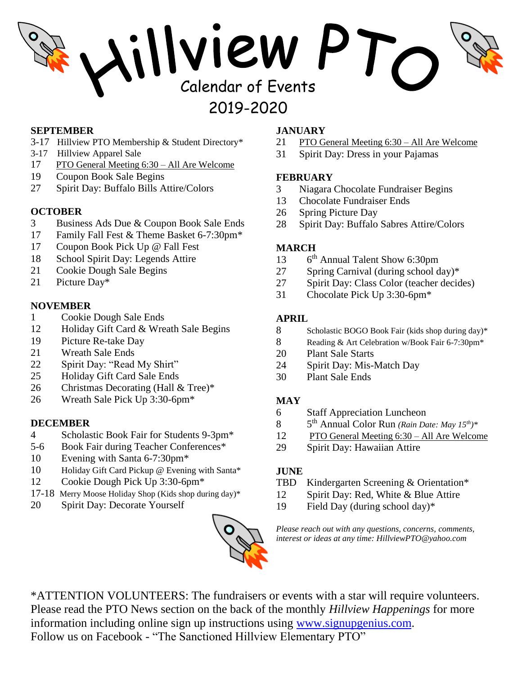# Aillyiew PT 2019-2020

#### **SEPTEMBER**

- 3-17 Hillview PTO Membership & Student Directory\*
- 3-17 Hillview Apparel Sale
- 17 PTO General Meeting 6:30 All Are Welcome
- 19 Coupon Book Sale Begins
- 27 Spirit Day: Buffalo Bills Attire/Colors

#### **OCTOBER**

- 3 Business Ads Due & Coupon Book Sale Ends
- 17 Family Fall Fest & Theme Basket 6-7:30pm\*
- 17 Coupon Book Pick Up @ Fall Fest
- 18 School Spirit Day: Legends Attire
- 21 Cookie Dough Sale Begins
- 21 Picture Day\*

#### **NOVEMBER**

- 1 Cookie Dough Sale Ends
- 12 Holiday Gift Card & Wreath Sale Begins
- 19 Picture Re-take Day
- 21 Wreath Sale Ends
- 22 Spirit Day: "Read My Shirt"
- 25 Holiday Gift Card Sale Ends
- 26 Christmas Decorating (Hall & Tree)\*
- 26 Wreath Sale Pick Up 3:30-6pm\*

#### **DECEMBER**

- 4 Scholastic Book Fair for Students 9-3pm\*
- 5-6 Book Fair during Teacher Conferences\*
- 10 Evening with Santa 6-7:30pm\*
- 10 Holiday Gift Card Pickup @ Evening with Santa\*
- 12 Cookie Dough Pick Up 3:30-6pm\*
- 17-18 Merry Moose Holiday Shop (Kids shop during day)\*
- 20 Spirit Day: Decorate Yourself

## **JANUARY**

- 21 PTO General Meeting 6:30 All Are Welcome
- 31 Spirit Day: Dress in your Pajamas

## **FEBRUARY**

- 3 Niagara Chocolate Fundraiser Begins
- 13 Chocolate Fundraiser Ends
- 26 Spring Picture Day
- 28 Spirit Day: Buffalo Sabres Attire/Colors

## **MARCH**

- 13  $6<sup>th</sup>$  Annual Talent Show 6:30pm
- 27 Spring Carnival (during school day)\*
- 27 Spirit Day: Class Color (teacher decides)
- 31 Chocolate Pick Up 3:30-6pm\*

## **APRIL**

- 8 Scholastic BOGO Book Fair (kids shop during day)\*
- 8 Reading & Art Celebration w/Book Fair 6-7:30pm\*
- 20 Plant Sale Starts
- 24 Spirit Day: Mis-Match Day
- 30 Plant Sale Ends

# **MAY**

- 6 Staff Appreciation Luncheon
- 8 th Annual Color Run *(Rain Date: May 15 th)\**
- 12 PTO General Meeting 6:30 All Are Welcome
- 29 Spirit Day: Hawaiian Attire

# **JUNE**

- TBD Kindergarten Screening & Orientation\*
- 12 Spirit Day: Red, White & Blue Attire
- 19 Field Day (during school day)\*

*Please reach out with any questions, concerns, comments, interest or ideas at any time: HillviewPTO@yahoo.com*



\*ATTENTION VOLUNTEERS: The fundraisers or events with a star will require volunteers. Please read the PTO News section on the back of the monthly *Hillview Happenings* for more information including online sign up instructions using [www.signupgenius.com.](http://www.signupgenius.com/) Follow us on Facebook - "The Sanctioned Hillview Elementary PTO"